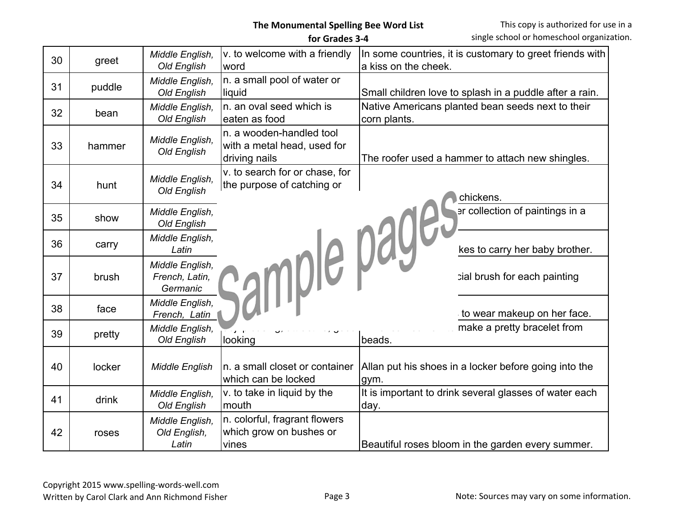|    |        |                                               | for Grades 3-4                                                           | single school or homeschool organiza                                             |
|----|--------|-----------------------------------------------|--------------------------------------------------------------------------|----------------------------------------------------------------------------------|
| 30 | greet  | Middle English,<br><b>Old English</b>         | v. to welcome with a friendly<br>word                                    | In some countries, it is customary to greet friends with<br>a kiss on the cheek. |
| 31 | puddle | Middle English,<br>Old English                | n. a small pool of water or<br>liquid                                    | Small children love to splash in a puddle after a rain.                          |
| 32 | bean   | Middle English,<br>Old English                | n. an oval seed which is<br>eaten as food                                | Native Americans planted bean seeds next to their<br>corn plants.                |
| 33 | hammer | Middle English,<br>Old English                | n. a wooden-handled tool<br>with a metal head, used for<br>driving nails | The roofer used a hammer to attach new shingles.                                 |
| 34 | hunt   | Middle English,<br>Old English                | v. to search for or chase, for<br>the purpose of catching or             | chickens.                                                                        |
| 35 | show   | Middle English,<br><b>Old English</b>         |                                                                          | er collection of paintings in a                                                  |
| 36 | carry  | Middle English,<br>Latin                      |                                                                          | kes to carry her baby brother.                                                   |
| 37 | brush  | Middle English,<br>French, Latin,<br>Germanic | rample pages                                                             | cial brush for each painting                                                     |
| 38 | face   | Middle English,<br>French, Latin              |                                                                          | to wear makeup on her face.                                                      |
| 39 | pretty | Middle English,<br>Old English                | looking                                                                  | make a pretty bracelet from<br>beads.                                            |
| 40 | locker | <b>Middle English</b>                         | n. a small closet or container<br>which can be locked                    | Allan put his shoes in a locker before going into the<br>gym.                    |
| 41 | drink  | Middle English,<br>Old English                | v. to take in liquid by the<br>mouth                                     | It is important to drink several glasses of water each<br>day.                   |
| 42 | roses  | Middle English,<br>Old English,<br>Latin      | n. colorful, fragrant flowers<br>which grow on bushes or<br>vines        | Beautiful roses bloom in the garden every summer.                                |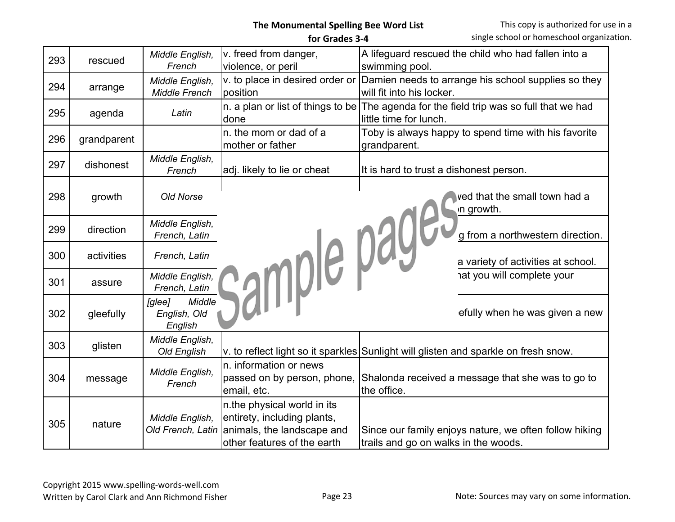| 293 | rescued     | Middle English,<br>French                   | v. freed from danger,<br>violence, or peril                                                                             | A lifeguard rescued the child who had fallen into a<br>swimming pool.                                             |
|-----|-------------|---------------------------------------------|-------------------------------------------------------------------------------------------------------------------------|-------------------------------------------------------------------------------------------------------------------|
| 294 | arrange     | Middle English,<br><b>Middle French</b>     | v. to place in desired order or<br>position                                                                             | Damien needs to arrange his school supplies so they<br>will fit into his locker.                                  |
| 295 | agenda      | Latin                                       | done                                                                                                                    | n. a plan or list of things to be The agenda for the field trip was so full that we had<br>little time for lunch. |
| 296 | grandparent |                                             | n, the mom or dad of a<br>mother or father                                                                              | Toby is always happy to spend time with his favorite<br>grandparent.                                              |
| 297 | dishonest   | Middle English,<br>French                   | adj. likely to lie or cheat                                                                                             | It is hard to trust a dishonest person.                                                                           |
| 298 | growth      | Old Norse                                   |                                                                                                                         | ved that the small town had a<br>in growth.                                                                       |
| 299 | direction   | Middle English,<br>French, Latin            |                                                                                                                         | g from a northwestern direction.                                                                                  |
| 300 | activities  | French, Latin                               |                                                                                                                         | a variety of activities at school.                                                                                |
| 301 | assure      | Middle English,<br>French, Latin            |                                                                                                                         | at you will complete your                                                                                         |
| 302 | gleefully   | Middle<br>[glee]<br>English, Old<br>English | sample page:                                                                                                            | efully when he was given a new                                                                                    |
| 303 | glisten     | Middle English,<br>Old English              |                                                                                                                         | v. to reflect light so it sparkles Sunlight will glisten and sparkle on fresh snow.                               |
| 304 | message     | Middle English,<br>French                   | In. information or news<br>passed on by person, phone,<br>email, etc.                                                   | Shalonda received a message that she was to go to<br>the office.                                                  |
| 305 | nature      | Middle English,<br>Old French, Latin        | n the physical world in its<br>entirety, including plants,<br>animals, the landscape and<br>other features of the earth | Since our family enjoys nature, we often follow hiking<br>trails and go on walks in the woods.                    |